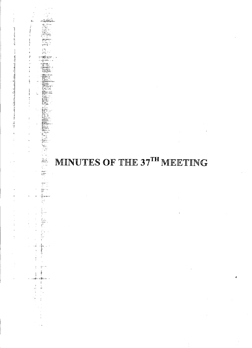

 $\hat{\mathbf{g}}_i$  .

ŧ

**Calculation** ÷.

÷, J,

 $\frac{1}{2}$ 

 $\frac{\Delta \omega}{kT}$ 

i<br>Ya

 $\frac{1}{2}$ ŧ

 $\frac{5}{4}$ 

网络动物

1.

 $\label{eq:1} \frac{1}{2} \frac{1}{2} \frac{1}{2} \frac{1}{2} \frac{1}{2} \frac{1}{2} \frac{1}{2} \frac{1}{2} \frac{1}{2} \frac{1}{2} \frac{1}{2} \frac{1}{2} \frac{1}{2} \frac{1}{2} \frac{1}{2} \frac{1}{2} \frac{1}{2} \frac{1}{2} \frac{1}{2} \frac{1}{2} \frac{1}{2} \frac{1}{2} \frac{1}{2} \frac{1}{2} \frac{1}{2} \frac{1}{2} \frac{1}{2} \frac{1}{2} \frac{1}{2} \frac{1}{2} \frac{$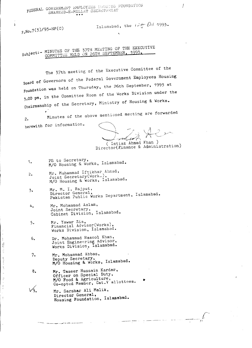FEDERAL GOVERNMENT EMPLOYEES ::UUS;IG FOUNDATIV FEDERAL GOVERNMENT EMPLOYEES HOUSING<br>SHAHEED-E-MILLAT SECRETARIAT

Islamabad, the  $i \rightarrow \frac{1}{7}$  *Oct* 1993

'.

 $F.Mo.7(3)/93-HF(C)$ 

I

 $\frac{1}{2}$  $\epsilon$  .<br>Recall the  $\epsilon$ Å

 $\alpha$  , and<br>strengthen  $\alpha$  $\frac{1}{2}$ ÷  $\frac{1}{2}$  $\frac{3}{2}$ 

su bJ<sub>t</sub>:\_ MINUTES OF THE 37TH MEETING OF THE EXECUTIVE COMMITTEE HELD ON 26TH SEPTEMBER 1

The 37th meeting of the Executive Committee of the Board of Governors of the Federal Government Employees Housing Foundation was held on Thursday, the 26th September, 1993 at ,.00 pm, in the Committee Room of the Works Division under the Chairmanship of the Secretary, Ministry of Housing & Works.

Minutes of the above mentioned meeting are forwarded  $\mathcal{P}_{\bullet}$ herewith for information.

 $\searrow$  /  $\sum$ m(*u* $\lambda$  $\setminus$  / $\setminus$   $\supset$  $\forall x \vdash r' \Rightarrow$ *t, ',-*

( Imtiaz Ahmad. Khan ) Director(Finance & Administration

- 1. PS to Secretary, *M/O* Housing & Works, Islamabad.
- 2. Manneson Mr. Muhammad Iftikhar Ahmad, Joint Secretary(Work~), *M/O* Housing & Works, Islamabad.
- ,. Mr. M. I. Rajput, Director General, Pakistan Public Works Department, Islamabad.
- 4. Mr. Mohammad Aslam, Joint Secretary, Cabinet Division, Islamabad.
- 5. Mr. Yawar Zia, Financial Advisor(Works), Works Division, Islamabad.
- 6. Dr. Mohammad Rasool Khan, Joint Engineering Advisor, Works Division, Islamabad.
- 7. Mr. Mohammad Abbas, Deputy Secretary, *M/O* Housing & Works, Islamabad.
- 8. Mr. Taseer Hussain Kardar, Officer on Special Duty, *MIO* Food & Agriculture, Co-opted Member, Cat.V allottees
- Vq. Mr. Sarshar Ali Malik, Director General, Housing Foundation, Islamabad •

.\_---.\_'~-\_. ------

/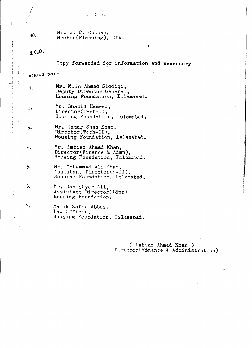|--|--|--|--|--|

*J i* /

 $\frac{4}{1}$ 

j  $\overline{\phantom{a}}$ 

| $10-$       | Mr. S. P. Chohan,<br>Member(Planning), $CDA$ .                                        |  |  |  |
|-------------|---------------------------------------------------------------------------------------|--|--|--|
| $N.0.0$ .   | ۹.                                                                                    |  |  |  |
|             | Copy forwarded for information and necessary                                          |  |  |  |
| action to:- |                                                                                       |  |  |  |
| 1.          | Mr. Moin Ahmed Siddiqi,<br>Deputy Director General,<br>Housing Foundation, Islamabad. |  |  |  |
| 2.          | Mr. Shahid Hameed,<br>Director(Tech-I),<br>Housing Foundation, Islamabad.             |  |  |  |
| 3.          | Mr. Qamar Shah Khan,<br>Director(Tech-II).<br>Housing Foundation, Islamabad.          |  |  |  |
| 4.          | Mr. Imtiaz Ahmad Khan,<br>Director(Finance & Admn),<br>Housing Foundation, Islamabad. |  |  |  |
| 5.          | Mr. Mohammad Ali Shah,<br>Assistant Director(E-II),<br>Housing Foundation, Islamabad. |  |  |  |
| 6.          | Mr. Danishyar Ali,<br>Assistant Director(Admn),<br>Housing Foundation.                |  |  |  |
| 7.          | Malik Zafar Abbas,<br>Law Officer,<br>Housing Foundation, Islamabad.                  |  |  |  |

( Imtiaz Ahmad Khan ) Director(Finance & Administration)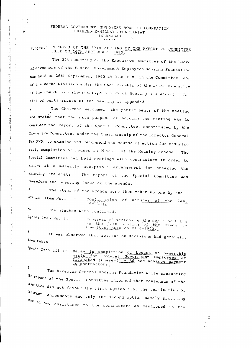#### FEDERAL GOVERNMENT EMPLOYEES HOUSING FOUNDATION SHAHEED-E-MILLAT SECRETARIAT ISLAMABAD

#### subject: - MINUTES OF THE 37TH MEETING OF THE EXECUTIVE COMMITTEE HELD ON 26TH SEPTEMBER, 1993.

The 37th meeting of the Executive Committee of the Board of Governors of the Federal Government Employees Housing Foundation was held on 26th September, 1993 at 3.00 P.M. in the Committee Room of the Works Division under the Chairmanship of the Chief Executive of the Foundation (Secretary, Ministry of Housing and Works). The list of participants of the meeting is appended.

The Chairman welcomed the participants of the meeting  $2.$ and stated that the main purpose of holding the meeting was to consider the report of the Special Committee, constituted by the Executive Committee, under the Chairmanship of the Director General Pak PWD, to examine and recommend the course of action for ensuring early completion of houses in Phase-I of the Housing Scheme. The Special Committee had held meetings with contractors in order to arrive at a mutually acceptable arrangement for breaking the existing stalemate. The report of the Special Committee was therefore the pressing issue on the agenda.

 $3<sub>1</sub>$ The items of the agenda were then taken up one by one. Agenda Item No.i Confirmation of minutes of the last  $\sim$ meeting.

The minutes were confirmed.

Agenda Item No. ii Progress of actions on the decision taken  $\sim$  100  $\mu$ in the joth meeting of the Execurity Committee held on 21-8-1993. 5.

It was observed that actions on decisions had generally been taken.

Agenda Item iii :-Delay in completion of houses on ownership<br>basis for Federal Government Employees at<br>Islamabad (Phase-I) - Ad hoc advance payment to contractors.

The Director General Housing Foundation while presenting the report of the Special Committee informed that consensus of the committee did not favour the first option i.e. the termination of lontract agreements and only the second option namely providing lome ad hoc assistance to the contractors as mentioned in the

 $\overline{4}$ .

 $6,$ 

 $f_i$ 

نيد

÷.

Ť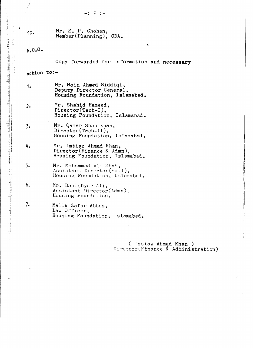# $N.0.0.$

Copy forwarded for information and necessary

 $\bullet$ 

### $action$  to:-

- Mr. Moin Ahmed Siddiqi, 1. Deputy Director General, Housing Foundation, Islamabad.
- Mr. Shahid Hameed,  $2.$ Director(Tech-I), Housing Foundation, Islamabad.
- Mr. Qamar Shah Khan,  $\overline{3}$ . Director(Tech-II), Housing Foundation, Islamabad.
- 4. Mr. Imtiaz Ahmad Khan, Director(Finance & Admn), Housing Foundation, Islamabad.
- $5.$ Mr. Mohammad Ali Shah, Assistant Director(E-II), Housing Foundation, Islamabad.
- 6. Mr. Danishyar Ali, Assistant Director(Admn), Housing Foundation.
- $7.$ Malik Zafar Abbas, Law Officer, Housing Foundation, Islamabad.

(Intiaz Ahmad Khan) Director(Finance & Administration)

まますます。 ともらえままに、コメモ、チャーク、スページを引き合わせたい出来る設定に立っても、あるお客様で、 このマンチャー presistre きょうほう しょうこうまく フィーマーク ハワー こうしょうしょう こうきょう いみ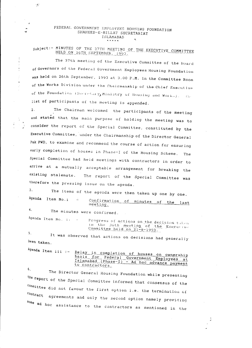## FEDERAL GOVERNMENT EMPLOYEES HOUSING FOUNDATION SHAHEED-E-MILLAT SECRETARIAT ISLAMABAD

-17

 $\mathbf{r}$ 

 $\frac{9}{8}$ 

subject: - MINUTES OF THE 37TH MEETING OF THE EXECUTIVE COMMITTEE HELD ON 26TH SEPTEMBER, 1993.

The 37th meeting of the Executive Committee of the Board of Governors of the Federal Government Employees Housing Foundation was held on 26th September, 1993 at 3.00 P.M. in the Committee Room of the Works Division under the Chairmanship of the Chief Exocutive of the Foundation (Secretary, Ministry of Housing and Works). The list of participants of the meeting is appended.

The Chairman welcomed the participants of the meeting  $2.$ and stated that the main purpose of holding the meeting was to consider the report of the Special Committee, constituted by the Executive Committee, under the Chairmanship of the Director General Pak PWD, to examine and recommend the course of action for ensuring early completion of houses in Phase-I of the Housing Scheme. The Special Committee had heid meetings with contractors in order to arrive at a mutually acceptable arrangement for breaking the existing stalemate. The report of the Special Committee was therefore the pressing issue on the agenda.

3. The items of the agenda were then taken up one by one. Agenda Item No.i Confirmation of minutes of the last meeting.  $4.$ The minutes were confirmed.

Agenda Item No. ii Progress of actions on the decision taken in the 30th meeting of the Execurive Committee held on 21-8-1993.  $5.$ 

It was observed that actions on decisions had generally been taken.

 $Agenda$  Item iii :-Delay in completion of houses on ownership basis for Federal Government Employees at<br>Islamabad (Phase-I) - Ad hoc advance payment to contractors. 6.

The Director General Housing Foundation while presenting the report of the Special Committee informed that consensus of the committee did not favour the first option i.e. the termination of contract agreements and only the second option namely providing some ad hoc assistance to the contractors as mentioned in the

7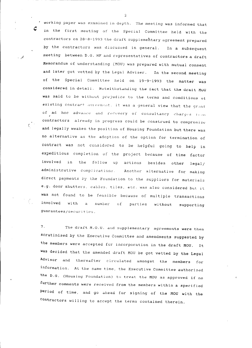' working paper was examined in depth. The meeting was informed that in the first meeting of the Special Committee held with the contractors on 28-8-1993 the draft supplementary agreement prepared by the contractors was discussed in general. In a subsequent meeting between D.G. HF and representatives of contractors a draft Memorandum of understanding (MOU) was prepared with mutual consent and later got vetted by the Legal Adviser. In the second meeting of the Special Committee held on 19-9-1993 the matter was considered in detail. Notwithstanding the fact that the draft MOU was said to be without prejudice to the terms and conditions of existing contract agreement, it was a general view that the grant of ad hoc advance and recovery of consultancy charges from contractors already in progress could be construed to compromise and legally weaken the position of Housing Foundation but there was no alternative as the adoption of the option for termination of contract was not considered to be helpful going to help in expeditious completion of the project because of time factor involved in the follow up actions besides other legal/ administrative complications. Another alternative for making direct payments by the Foundation to the suppliers for materials e.g. door shutters, cables, tiles, etc. was also considered but it was not found to be feasible because of multiple transactions with a number of parties without supporting involved guarantees/securities.

 $7<sup>1</sup>$ The draft M.O.U. and supplementary agreements were then scrutinised by the Executive Committee and amendments suggested by the members were accepted for incorporation in the draft MOU. It was decided that the amended draft MOU be got vetted by the Legal Advisor and thereafter circulated amongst the members for information. At the same time, the Executive Committee authorised the D.G. (Housing Foundation) to treat the MOU as approved 1f no further comments were received from the members within a specified period of time, and go ahead for signing of the MOU with the contractors willing to accept the terms contained therein.

 $\overline{2}$ 

C

 $\mathcal{A}$ 

 $\overline{\zeta}$